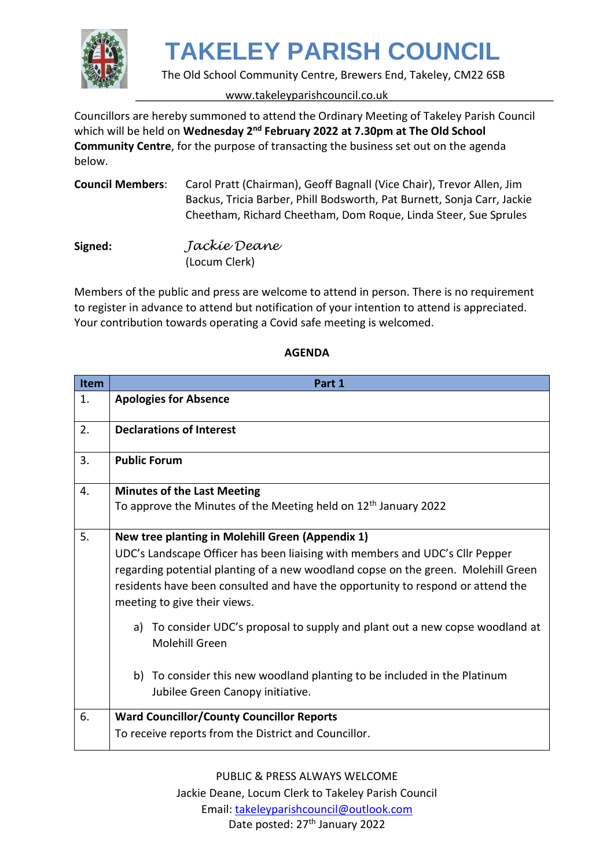

The Old School Community Centre, Brewers End, Takeley, CM22 6SB

#### www.takeleyparishcouncil.co.uk

Councillors are hereby summoned to attend the Ordinary Meeting of Takeley Parish Council which will be held on Wednesday 2<sup>nd</sup> February 2022 at 7.30pm at The Old School **Community Centre**, for the purpose of transacting the business set out on the agenda below.

| <b>Council Members:</b> | Carol Pratt (Chairman), Geoff Bagnall (Vice Chair), Trevor Allen, Jim<br>Backus, Tricia Barber, Phill Bodsworth, Pat Burnett, Sonja Carr, Jackie<br>Cheetham, Richard Cheetham, Dom Roque, Linda Steer, Sue Sprules |
|-------------------------|---------------------------------------------------------------------------------------------------------------------------------------------------------------------------------------------------------------------|
| $\sim$ $\sim$ $\sim$    | $\tau = 1, 1, \ldots$                                                                                                                                                                                               |

**Signed:** *Jackie Deane* (Locum Clerk)

Members of the public and press are welcome to attend in person. There is no requirement to register in advance to attend but notification of your intention to attend is appreciated. Your contribution towards operating a Covid safe meeting is welcomed.

#### **Item Part 1** 1. **Apologies for Absence** 2. **Declarations of Interest** 3. **Public Forum**  4. **Minutes of the Last Meeting** To approve the Minutes of the Meeting held on 12<sup>th</sup> January 2022 5. **New tree planting in Molehill Green (Appendix 1)** UDC's Landscape Officer has been liaising with members and UDC's Cllr Pepper regarding potential planting of a new woodland copse on the green. Molehill Green residents have been consulted and have the opportunity to respond or attend the meeting to give their views. a) To consider UDC's proposal to supply and plant out a new copse woodland at Molehill Green b) To consider this new woodland planting to be included in the Platinum Jubilee Green Canopy initiative. 6. **Ward Councillor/County Councillor Reports** To receive reports from the District and Councillor.

#### **AGENDA**

PUBLIC & PRESS ALWAYS WELCOME Jackie Deane, Locum Clerk to Takeley Parish Council Email: [takeleyparishcouncil@outlook.com](mailto:takeleyparishcouncil@outlook.com)

Date posted: 27<sup>th</sup> January 2022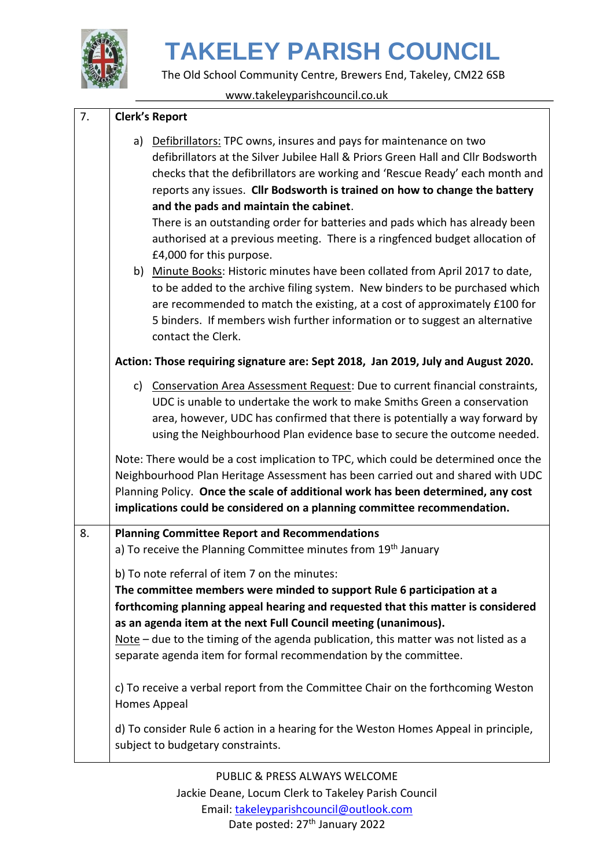

The Old School Community Centre, Brewers End, Takeley, CM22 6SB

www.takeleyparishcouncil.co.uk

| 7. | <b>Clerk's Report</b>                                                                                                                                                                                                                                                                                                                                                                                                                                                                                                                                                                                                                                                                                                                                                                                                                                                                                          |
|----|----------------------------------------------------------------------------------------------------------------------------------------------------------------------------------------------------------------------------------------------------------------------------------------------------------------------------------------------------------------------------------------------------------------------------------------------------------------------------------------------------------------------------------------------------------------------------------------------------------------------------------------------------------------------------------------------------------------------------------------------------------------------------------------------------------------------------------------------------------------------------------------------------------------|
|    | a) Defibrillators: TPC owns, insures and pays for maintenance on two<br>defibrillators at the Silver Jubilee Hall & Priors Green Hall and Cllr Bodsworth<br>checks that the defibrillators are working and 'Rescue Ready' each month and<br>reports any issues. Cllr Bodsworth is trained on how to change the battery<br>and the pads and maintain the cabinet.<br>There is an outstanding order for batteries and pads which has already been<br>authorised at a previous meeting. There is a ringfenced budget allocation of<br>£4,000 for this purpose.<br>b) Minute Books: Historic minutes have been collated from April 2017 to date,<br>to be added to the archive filing system. New binders to be purchased which<br>are recommended to match the existing, at a cost of approximately £100 for<br>5 binders. If members wish further information or to suggest an alternative<br>contact the Clerk. |
|    | Action: Those requiring signature are: Sept 2018, Jan 2019, July and August 2020.                                                                                                                                                                                                                                                                                                                                                                                                                                                                                                                                                                                                                                                                                                                                                                                                                              |
|    | Conservation Area Assessment Request: Due to current financial constraints,<br>c)<br>UDC is unable to undertake the work to make Smiths Green a conservation<br>area, however, UDC has confirmed that there is potentially a way forward by<br>using the Neighbourhood Plan evidence base to secure the outcome needed.                                                                                                                                                                                                                                                                                                                                                                                                                                                                                                                                                                                        |
|    | Note: There would be a cost implication to TPC, which could be determined once the<br>Neighbourhood Plan Heritage Assessment has been carried out and shared with UDC<br>Planning Policy. Once the scale of additional work has been determined, any cost<br>implications could be considered on a planning committee recommendation.                                                                                                                                                                                                                                                                                                                                                                                                                                                                                                                                                                          |
| 8. | <b>Planning Committee Report and Recommendations</b><br>a) To receive the Planning Committee minutes from 19 <sup>th</sup> January                                                                                                                                                                                                                                                                                                                                                                                                                                                                                                                                                                                                                                                                                                                                                                             |
|    | b) To note referral of item 7 on the minutes:<br>The committee members were minded to support Rule 6 participation at a<br>forthcoming planning appeal hearing and requested that this matter is considered<br>as an agenda item at the next Full Council meeting (unanimous).<br>$Note - due to the timing of the agenda publication, this matter was not listed as a$<br>separate agenda item for formal recommendation by the committee.<br>c) To receive a verbal report from the Committee Chair on the forthcoming Weston                                                                                                                                                                                                                                                                                                                                                                                |
|    | Homes Appeal                                                                                                                                                                                                                                                                                                                                                                                                                                                                                                                                                                                                                                                                                                                                                                                                                                                                                                   |
|    | d) To consider Rule 6 action in a hearing for the Weston Homes Appeal in principle,<br>subject to budgetary constraints.                                                                                                                                                                                                                                                                                                                                                                                                                                                                                                                                                                                                                                                                                                                                                                                       |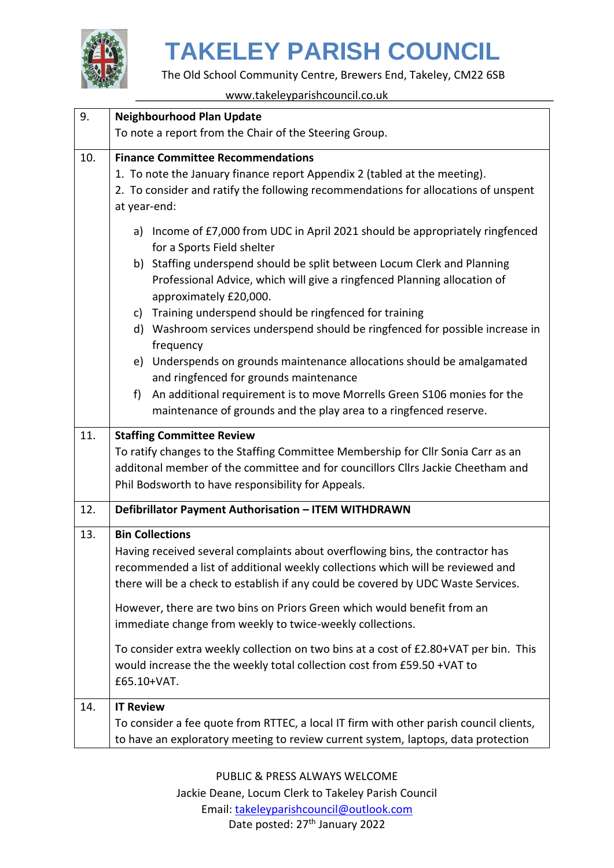

The Old School Community Centre, Brewers End, Takeley, CM22 6SB

www.takeleyparishcouncil.co.uk

| 9.  | <b>Neighbourhood Plan Update</b>                                                                                                                                                                                                                                                                                                                                                                                                                                                                                                                                                                                                                                                                                                        |
|-----|-----------------------------------------------------------------------------------------------------------------------------------------------------------------------------------------------------------------------------------------------------------------------------------------------------------------------------------------------------------------------------------------------------------------------------------------------------------------------------------------------------------------------------------------------------------------------------------------------------------------------------------------------------------------------------------------------------------------------------------------|
|     | To note a report from the Chair of the Steering Group.                                                                                                                                                                                                                                                                                                                                                                                                                                                                                                                                                                                                                                                                                  |
| 10. | <b>Finance Committee Recommendations</b><br>1. To note the January finance report Appendix 2 (tabled at the meeting).<br>2. To consider and ratify the following recommendations for allocations of unspent<br>at year-end:                                                                                                                                                                                                                                                                                                                                                                                                                                                                                                             |
|     | Income of £7,000 from UDC in April 2021 should be appropriately ringfenced<br>a)<br>for a Sports Field shelter<br>b) Staffing underspend should be split between Locum Clerk and Planning<br>Professional Advice, which will give a ringfenced Planning allocation of<br>approximately £20,000.<br>Training underspend should be ringfenced for training<br>c)<br>d) Washroom services underspend should be ringfenced for possible increase in<br>frequency<br>e) Underspends on grounds maintenance allocations should be amalgamated<br>and ringfenced for grounds maintenance<br>An additional requirement is to move Morrells Green S106 monies for the<br>f)<br>maintenance of grounds and the play area to a ringfenced reserve. |
| 11. | <b>Staffing Committee Review</b>                                                                                                                                                                                                                                                                                                                                                                                                                                                                                                                                                                                                                                                                                                        |
|     | To ratify changes to the Staffing Committee Membership for Cllr Sonia Carr as an<br>additonal member of the committee and for councillors Cllrs Jackie Cheetham and<br>Phil Bodsworth to have responsibility for Appeals.                                                                                                                                                                                                                                                                                                                                                                                                                                                                                                               |
| 12. | Defibrillator Payment Authorisation - ITEM WITHDRAWN                                                                                                                                                                                                                                                                                                                                                                                                                                                                                                                                                                                                                                                                                    |
| 13. | <b>Bin Collections</b><br>Having received several complaints about overflowing bins, the contractor has<br>recommended a list of additional weekly collections which will be reviewed and<br>there will be a check to establish if any could be covered by UDC Waste Services.<br>However, there are two bins on Priors Green which would benefit from an<br>immediate change from weekly to twice-weekly collections.<br>To consider extra weekly collection on two bins at a cost of £2.80+VAT per bin. This<br>would increase the the weekly total collection cost from £59.50 +VAT to<br>£65.10+VAT.                                                                                                                                |
| 14. | <b>IT Review</b><br>To consider a fee quote from RTTEC, a local IT firm with other parish council clients,<br>to have an exploratory meeting to review current system, laptops, data protection                                                                                                                                                                                                                                                                                                                                                                                                                                                                                                                                         |

PUBLIC & PRESS ALWAYS WELCOME Jackie Deane, Locum Clerk to Takeley Parish Council Email: [takeleyparishcouncil@outlook.com](mailto:takeleyparishcouncil@outlook.com) Date posted: 27<sup>th</sup> January 2022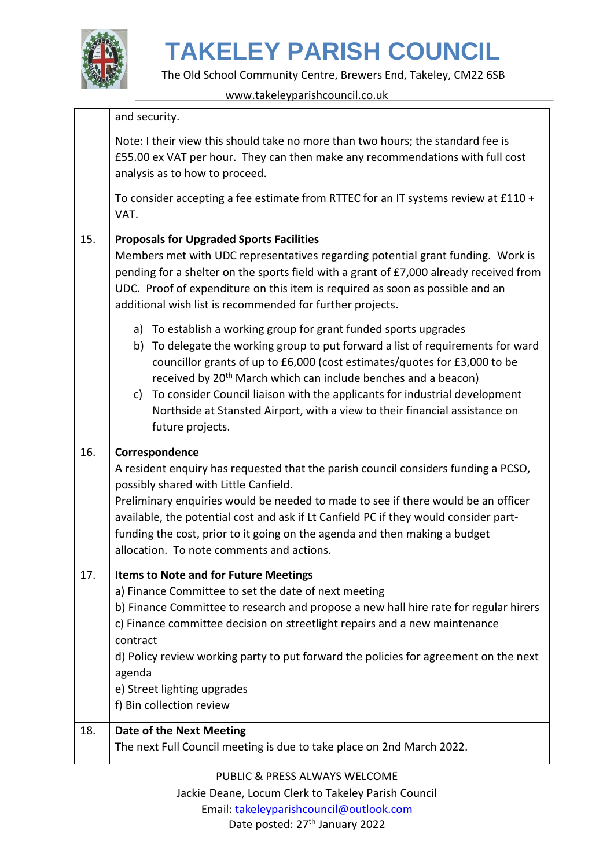

The Old School Community Centre, Brewers End, Takeley, CM22 6SB

www.takeleyparishcouncil.co.uk

|     | and security.                                                                                                                                                                                                                                                                                                                                                                                                                                                                                         |
|-----|-------------------------------------------------------------------------------------------------------------------------------------------------------------------------------------------------------------------------------------------------------------------------------------------------------------------------------------------------------------------------------------------------------------------------------------------------------------------------------------------------------|
|     | Note: I their view this should take no more than two hours; the standard fee is<br>£55.00 ex VAT per hour. They can then make any recommendations with full cost<br>analysis as to how to proceed.                                                                                                                                                                                                                                                                                                    |
|     | To consider accepting a fee estimate from RTTEC for an IT systems review at £110 +<br>VAT.                                                                                                                                                                                                                                                                                                                                                                                                            |
| 15. | <b>Proposals for Upgraded Sports Facilities</b><br>Members met with UDC representatives regarding potential grant funding. Work is<br>pending for a shelter on the sports field with a grant of £7,000 already received from<br>UDC. Proof of expenditure on this item is required as soon as possible and an<br>additional wish list is recommended for further projects.                                                                                                                            |
|     | a) To establish a working group for grant funded sports upgrades<br>b) To delegate the working group to put forward a list of requirements for ward<br>councillor grants of up to £6,000 (cost estimates/quotes for £3,000 to be<br>received by 20 <sup>th</sup> March which can include benches and a beacon)<br>To consider Council liaison with the applicants for industrial development<br>C)<br>Northside at Stansted Airport, with a view to their financial assistance on<br>future projects. |
| 16. | Correspondence<br>A resident enquiry has requested that the parish council considers funding a PCSO,<br>possibly shared with Little Canfield.<br>Preliminary enquiries would be needed to made to see if there would be an officer                                                                                                                                                                                                                                                                    |
|     | available, the potential cost and ask if Lt Canfield PC if they would consider part-<br>funding the cost, prior to it going on the agenda and then making a budget<br>allocation. To note comments and actions.                                                                                                                                                                                                                                                                                       |
| 17. | <b>Items to Note and for Future Meetings</b><br>a) Finance Committee to set the date of next meeting<br>b) Finance Committee to research and propose a new hall hire rate for regular hirers<br>c) Finance committee decision on streetlight repairs and a new maintenance<br>contract<br>d) Policy review working party to put forward the policies for agreement on the next<br>agenda                                                                                                              |
|     | e) Street lighting upgrades<br>f) Bin collection review                                                                                                                                                                                                                                                                                                                                                                                                                                               |
| 18. | <b>Date of the Next Meeting</b><br>The next Full Council meeting is due to take place on 2nd March 2022.                                                                                                                                                                                                                                                                                                                                                                                              |

PUBLIC & PRESS ALWAYS WELCOME Jackie Deane, Locum Clerk to Takeley Parish Council Email: [takeleyparishcouncil@outlook.com](mailto:takeleyparishcouncil@outlook.com) Date posted: 27<sup>th</sup> January 2022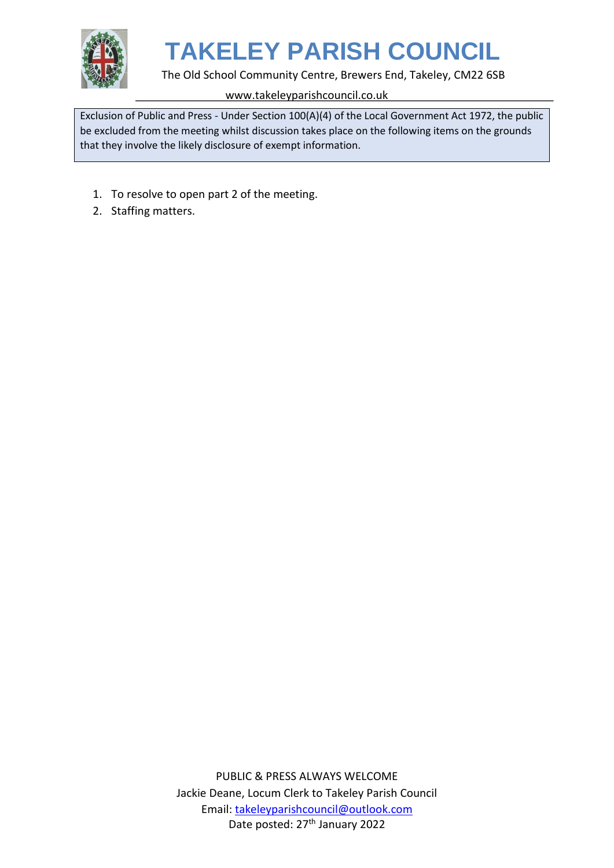

#### The Old School Community Centre, Brewers End, Takeley, CM22 6SB

www.takeleyparishcouncil.co.uk

Exclusion of Public and Press - Under Section 100(A)(4) of the Local Government Act 1972, the public be excluded from the meeting whilst discussion takes place on the following items on the grounds that they involve the likely disclosure of exempt information.

- 1. To resolve to open part 2 of the meeting.
- 2. Staffing matters.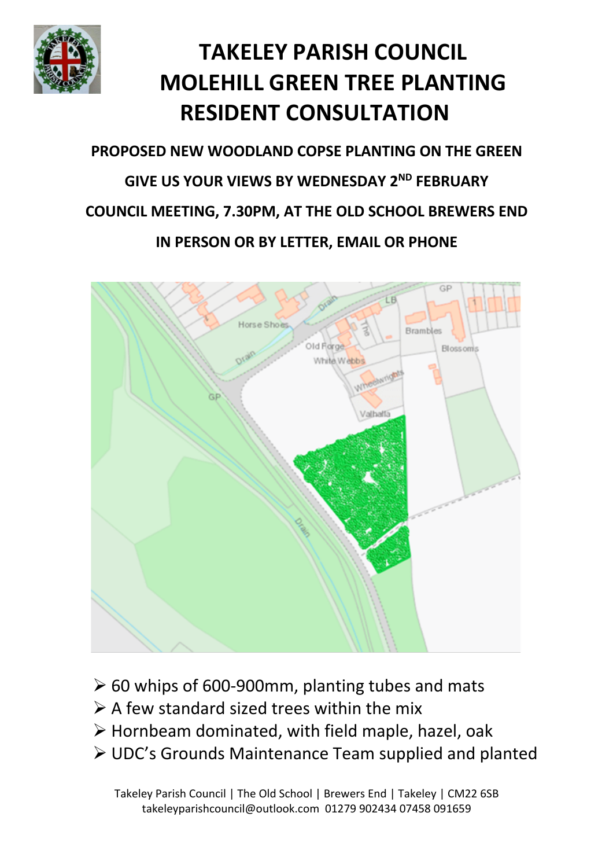

# **TAKELEY PARISH COUNCIL MOLEHILL GREEN TREE PLANTING RESIDENT CONSULTATION**

**PROPOSED NEW WOODLAND COPSE PLANTING ON THE GREEN GIVE US YOUR VIEWS BY WEDNESDAY 2ND FEBRUARY COUNCIL MEETING, 7.30PM, AT THE OLD SCHOOL BREWERS END IN PERSON OR BY LETTER, EMAIL OR PHONE** 



- $\geq 60$  whips of 600-900mm, planting tubes and mats
- $\triangleright$  A few standard sized trees within the mix
- $\triangleright$  Hornbeam dominated, with field maple, hazel, oak
- ! UDC's Grounds Maintenance Team supplied and planted

Takeley Parish Council | The Old School | Brewers End | Takeley | CM22 6SB takeleyparishcouncil@outlook.com 01279 902434 07458 091659